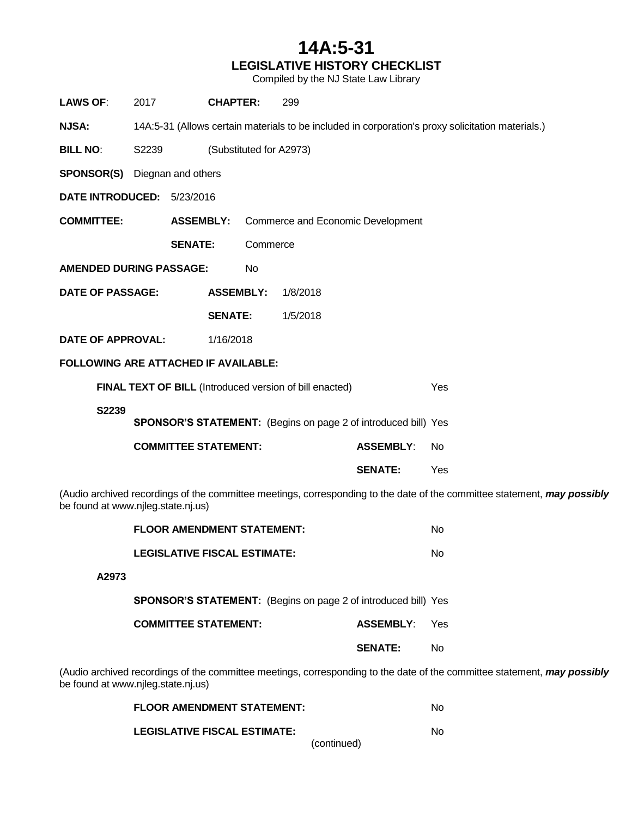## **14A:5-31 LEGISLATIVE HISTORY CHECKLIST**

Compiled by the NJ State Law Library

| <b>LAWS OF:</b>                                                                                                                                                | 2017                                                                                              | <b>CHAPTER:</b>  |                         | 299                               |                  |     |  |  |
|----------------------------------------------------------------------------------------------------------------------------------------------------------------|---------------------------------------------------------------------------------------------------|------------------|-------------------------|-----------------------------------|------------------|-----|--|--|
| <b>NJSA:</b>                                                                                                                                                   | 14A:5-31 (Allows certain materials to be included in corporation's proxy solicitation materials.) |                  |                         |                                   |                  |     |  |  |
| <b>BILL NO:</b>                                                                                                                                                | S2239                                                                                             |                  | (Substituted for A2973) |                                   |                  |     |  |  |
|                                                                                                                                                                | <b>SPONSOR(S)</b> Diegnan and others                                                              |                  |                         |                                   |                  |     |  |  |
| DATE INTRODUCED: 5/23/2016                                                                                                                                     |                                                                                                   |                  |                         |                                   |                  |     |  |  |
| <b>COMMITTEE:</b>                                                                                                                                              |                                                                                                   | <b>ASSEMBLY:</b> |                         | Commerce and Economic Development |                  |     |  |  |
|                                                                                                                                                                | <b>SENATE:</b>                                                                                    |                  | Commerce                |                                   |                  |     |  |  |
| <b>AMENDED DURING PASSAGE:</b>                                                                                                                                 |                                                                                                   |                  | No                      |                                   |                  |     |  |  |
| <b>DATE OF PASSAGE:</b>                                                                                                                                        |                                                                                                   | <b>ASSEMBLY:</b> |                         | 1/8/2018                          |                  |     |  |  |
|                                                                                                                                                                |                                                                                                   | <b>SENATE:</b>   |                         | 1/5/2018                          |                  |     |  |  |
| <b>DATE OF APPROVAL:</b>                                                                                                                                       |                                                                                                   | 1/16/2018        |                         |                                   |                  |     |  |  |
| FOLLOWING ARE ATTACHED IF AVAILABLE:                                                                                                                           |                                                                                                   |                  |                         |                                   |                  |     |  |  |
| <b>FINAL TEXT OF BILL (Introduced version of bill enacted)</b>                                                                                                 |                                                                                                   |                  |                         |                                   |                  | Yes |  |  |
| S2239<br><b>SPONSOR'S STATEMENT:</b> (Begins on page 2 of introduced bill) Yes                                                                                 |                                                                                                   |                  |                         |                                   |                  |     |  |  |
|                                                                                                                                                                |                                                                                                   |                  |                         |                                   |                  |     |  |  |
| <b>COMMITTEE STATEMENT:</b>                                                                                                                                    |                                                                                                   |                  |                         |                                   | <b>ASSEMBLY:</b> | No  |  |  |
|                                                                                                                                                                |                                                                                                   |                  |                         |                                   | <b>SENATE:</b>   | Yes |  |  |
| (Audio archived recordings of the committee meetings, corresponding to the date of the committee statement, may possibly<br>be found at www.njleg.state.nj.us) |                                                                                                   |                  |                         |                                   |                  |     |  |  |

|       | <b>FLOOR AMENDMENT STATEMENT:</b>                                                    |                  | No  |  |  |
|-------|--------------------------------------------------------------------------------------|------------------|-----|--|--|
|       | <b>LEGISLATIVE FISCAL ESTIMATE:</b>                                                  |                  |     |  |  |
| A2973 |                                                                                      |                  |     |  |  |
|       | <b>SPONSOR'S STATEMENT:</b> (Begins on page 2 of introduced bill) Yes                |                  |     |  |  |
|       | <b>COMMITTEE STATEMENT:</b>                                                          | <b>ASSEMBLY:</b> | Yes |  |  |
|       |                                                                                      | <b>SENATE:</b>   | No  |  |  |
|       | archived recordings of the committee meetings, corresponding to the date of the comm |                  |     |  |  |

(Audio archived recordings of the committee meetings, corresponding to the date of the committee statement, *may possibly* be found at www.njleg.state.nj.us)

| <b>FLOOR AMENDMENT STATEMENT:</b>   |             | No. |
|-------------------------------------|-------------|-----|
| <b>LEGISLATIVE FISCAL ESTIMATE:</b> |             | No. |
|                                     | (continued) |     |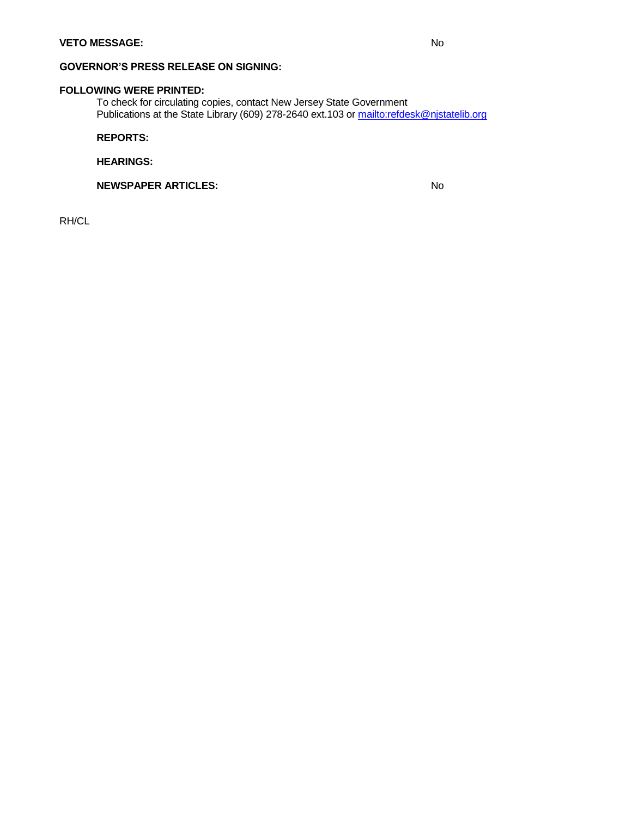#### **GOVERNOR'S PRESS RELEASE ON SIGNING:**

#### **FOLLOWING WERE PRINTED:**

To check for circulating copies, contact New Jersey State Government Publications at the State Librar[y \(609\) 278-2640 ext.103 or](mailto:refdesk@njstatelib.org) <mailto:refdesk@njstatelib.org>

**REPORTS:**

**HEARINGS:**

**NEWSPAPER ARTICLES:** No

RH/CL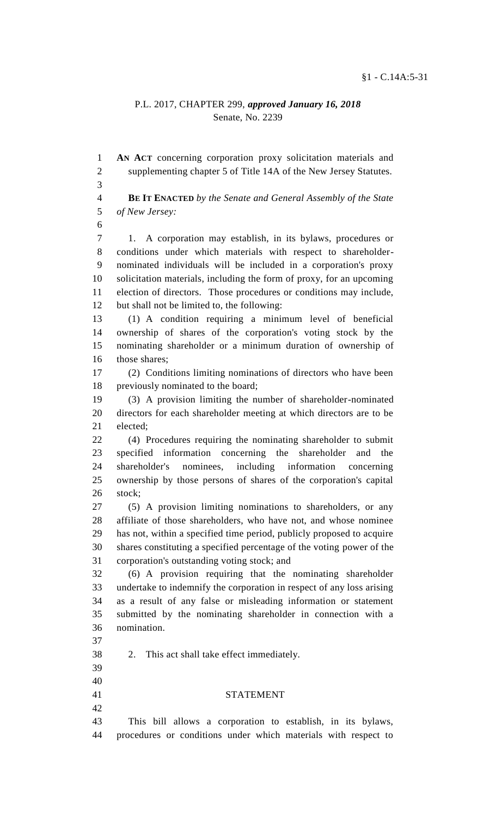### P.L. 2017, CHAPTER 299, *approved January 16, 2018* Senate, No. 2239

 **AN ACT** concerning corporation proxy solicitation materials and supplementing chapter 5 of Title 14A of the New Jersey Statutes.

 **BE IT ENACTED** *by the Senate and General Assembly of the State of New Jersey:*

 1. A corporation may establish, in its bylaws, procedures or conditions under which materials with respect to shareholder- nominated individuals will be included in a corporation's proxy solicitation materials, including the form of proxy, for an upcoming election of directors. Those procedures or conditions may include, but shall not be limited to, the following:

 (1) A condition requiring a minimum level of beneficial ownership of shares of the corporation's voting stock by the nominating shareholder or a minimum duration of ownership of those shares;

 (2) Conditions limiting nominations of directors who have been previously nominated to the board;

 (3) A provision limiting the number of shareholder-nominated directors for each shareholder meeting at which directors are to be elected;

 (4) Procedures requiring the nominating shareholder to submit specified information concerning the shareholder and the shareholder's nominees, including information concerning ownership by those persons of shares of the corporation's capital stock;

 (5) A provision limiting nominations to shareholders, or any affiliate of those shareholders, who have not, and whose nominee has not, within a specified time period, publicly proposed to acquire shares constituting a specified percentage of the voting power of the corporation's outstanding voting stock; and

 (6) A provision requiring that the nominating shareholder undertake to indemnify the corporation in respect of any loss arising as a result of any false or misleading information or statement submitted by the nominating shareholder in connection with a nomination.

 

2. This act shall take effect immediately.

## STATEMENT

 This bill allows a corporation to establish, in its bylaws, procedures or conditions under which materials with respect to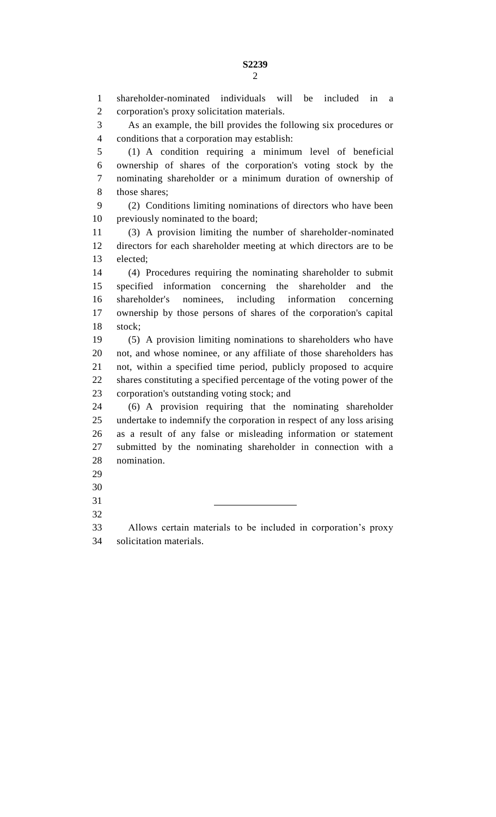shareholder-nominated individuals will be included in a corporation's proxy solicitation materials.

 As an example, the bill provides the following six procedures or conditions that a corporation may establish:

 (1) A condition requiring a minimum level of beneficial ownership of shares of the corporation's voting stock by the nominating shareholder or a minimum duration of ownership of 8 those shares;

 (2) Conditions limiting nominations of directors who have been previously nominated to the board;

 (3) A provision limiting the number of shareholder-nominated directors for each shareholder meeting at which directors are to be elected;

 (4) Procedures requiring the nominating shareholder to submit specified information concerning the shareholder and the shareholder's nominees, including information concerning ownership by those persons of shares of the corporation's capital stock;

 (5) A provision limiting nominations to shareholders who have not, and whose nominee, or any affiliate of those shareholders has not, within a specified time period, publicly proposed to acquire shares constituting a specified percentage of the voting power of the corporation's outstanding voting stock; and

 (6) A provision requiring that the nominating shareholder undertake to indemnify the corporation in respect of any loss arising as a result of any false or misleading information or statement submitted by the nominating shareholder in connection with a nomination.

- 
- 
- 
- 

 Allows certain materials to be included in corporation's proxy solicitation materials.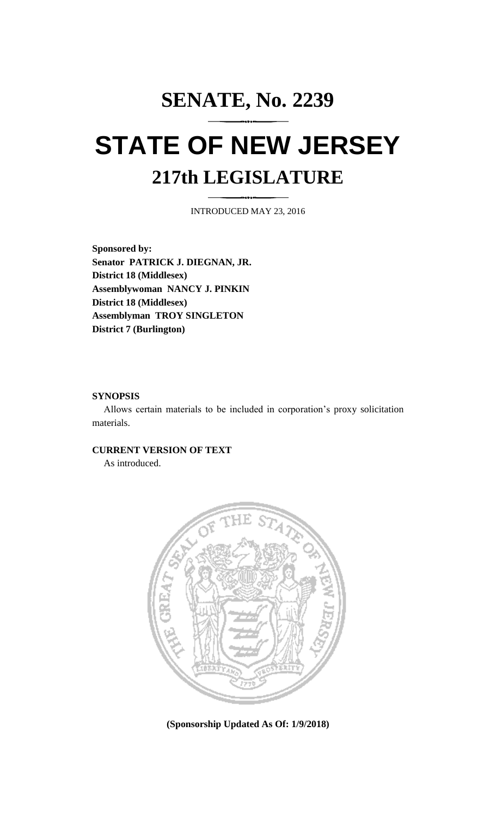# **SENATE, No. 2239 STATE OF NEW JERSEY 217th LEGISLATURE**

INTRODUCED MAY 23, 2016

**Sponsored by: Senator PATRICK J. DIEGNAN, JR. District 18 (Middlesex) Assemblywoman NANCY J. PINKIN District 18 (Middlesex) Assemblyman TROY SINGLETON District 7 (Burlington)**

### **SYNOPSIS**

Allows certain materials to be included in corporation's proxy solicitation materials.

# **CURRENT VERSION OF TEXT**

As introduced.



**(Sponsorship Updated As Of: 1/9/2018)**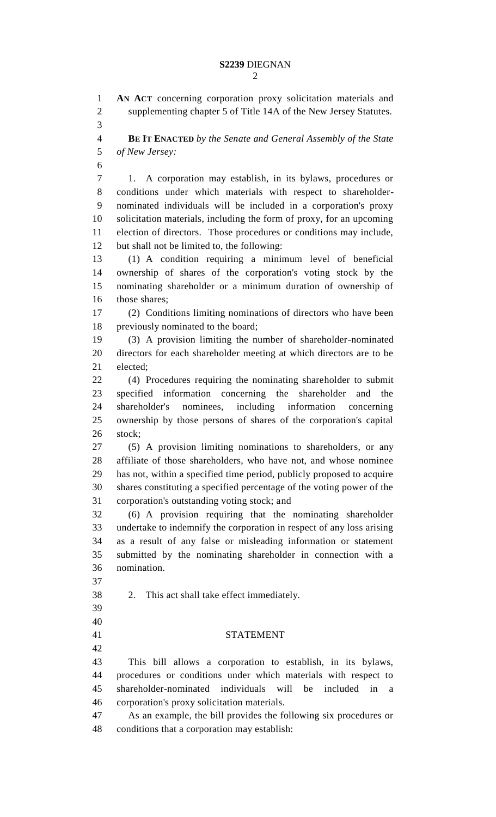**AN ACT** concerning corporation proxy solicitation materials and supplementing chapter 5 of Title 14A of the New Jersey Statutes. **BE IT ENACTED** *by the Senate and General Assembly of the State of New Jersey:* 1. A corporation may establish, in its bylaws, procedures or conditions under which materials with respect to shareholder- nominated individuals will be included in a corporation's proxy solicitation materials, including the form of proxy, for an upcoming election of directors. Those procedures or conditions may include, but shall not be limited to, the following: (1) A condition requiring a minimum level of beneficial ownership of shares of the corporation's voting stock by the nominating shareholder or a minimum duration of ownership of those shares; (2) Conditions limiting nominations of directors who have been previously nominated to the board; (3) A provision limiting the number of shareholder-nominated directors for each shareholder meeting at which directors are to be elected; (4) Procedures requiring the nominating shareholder to submit specified information concerning the shareholder and the shareholder's nominees, including information concerning ownership by those persons of shares of the corporation's capital stock; (5) A provision limiting nominations to shareholders, or any affiliate of those shareholders, who have not, and whose nominee has not, within a specified time period, publicly proposed to acquire shares constituting a specified percentage of the voting power of the corporation's outstanding voting stock; and (6) A provision requiring that the nominating shareholder undertake to indemnify the corporation in respect of any loss arising as a result of any false or misleading information or statement submitted by the nominating shareholder in connection with a nomination. 2. This act shall take effect immediately. STATEMENT This bill allows a corporation to establish, in its bylaws, procedures or conditions under which materials with respect to shareholder-nominated individuals will be included in a corporation's proxy solicitation materials. As an example, the bill provides the following six procedures or conditions that a corporation may establish: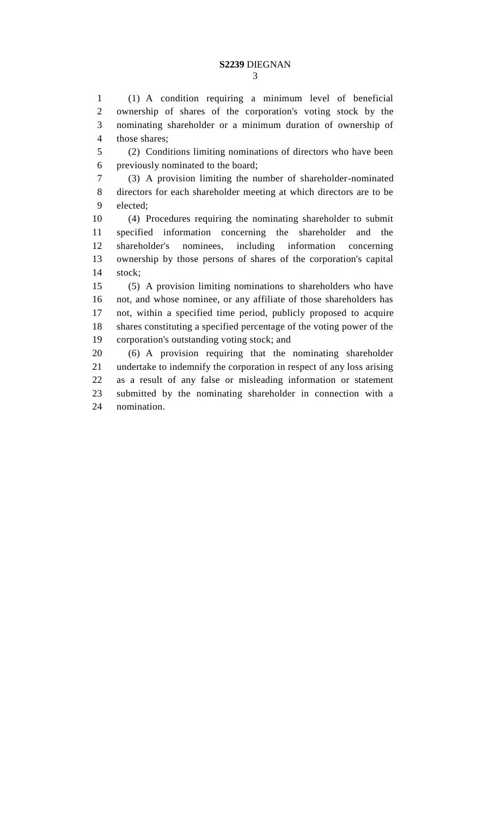(1) A condition requiring a minimum level of beneficial ownership of shares of the corporation's voting stock by the nominating shareholder or a minimum duration of ownership of those shares;

 (2) Conditions limiting nominations of directors who have been previously nominated to the board;

 (3) A provision limiting the number of shareholder-nominated directors for each shareholder meeting at which directors are to be elected;

 (4) Procedures requiring the nominating shareholder to submit specified information concerning the shareholder and the shareholder's nominees, including information concerning ownership by those persons of shares of the corporation's capital stock;

 (5) A provision limiting nominations to shareholders who have not, and whose nominee, or any affiliate of those shareholders has not, within a specified time period, publicly proposed to acquire shares constituting a specified percentage of the voting power of the corporation's outstanding voting stock; and

 (6) A provision requiring that the nominating shareholder undertake to indemnify the corporation in respect of any loss arising as a result of any false or misleading information or statement submitted by the nominating shareholder in connection with a nomination.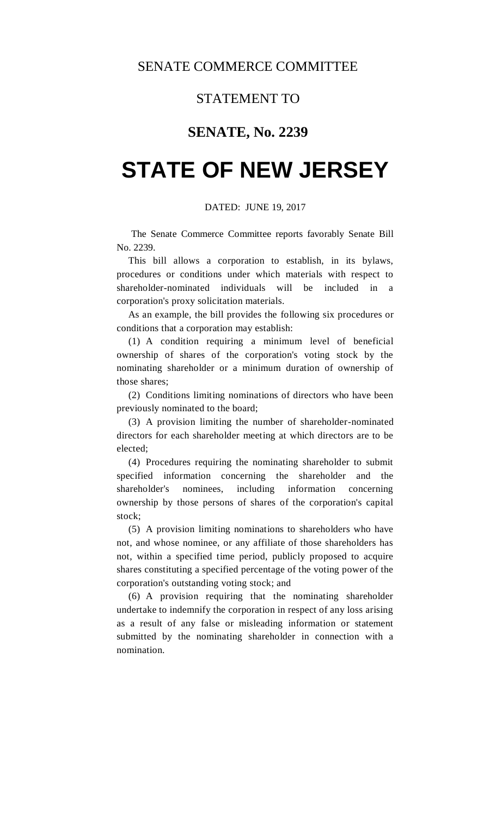## STATEMENT TO

# **SENATE, No. 2239**

# **STATE OF NEW JERSEY**

### DATED: JUNE 19, 2017

The Senate Commerce Committee reports favorably Senate Bill No. 2239.

This bill allows a corporation to establish, in its bylaws, procedures or conditions under which materials with respect to shareholder-nominated individuals will be included in a corporation's proxy solicitation materials.

As an example, the bill provides the following six procedures or conditions that a corporation may establish:

(1) A condition requiring a minimum level of beneficial ownership of shares of the corporation's voting stock by the nominating shareholder or a minimum duration of ownership of those shares;

(2) Conditions limiting nominations of directors who have been previously nominated to the board;

(3) A provision limiting the number of shareholder-nominated directors for each shareholder meeting at which directors are to be elected;

(4) Procedures requiring the nominating shareholder to submit specified information concerning the shareholder and the shareholder's nominees, including information concerning ownership by those persons of shares of the corporation's capital stock;

(5) A provision limiting nominations to shareholders who have not, and whose nominee, or any affiliate of those shareholders has not, within a specified time period, publicly proposed to acquire shares constituting a specified percentage of the voting power of the corporation's outstanding voting stock; and

(6) A provision requiring that the nominating shareholder undertake to indemnify the corporation in respect of any loss arising as a result of any false or misleading information or statement submitted by the nominating shareholder in connection with a nomination.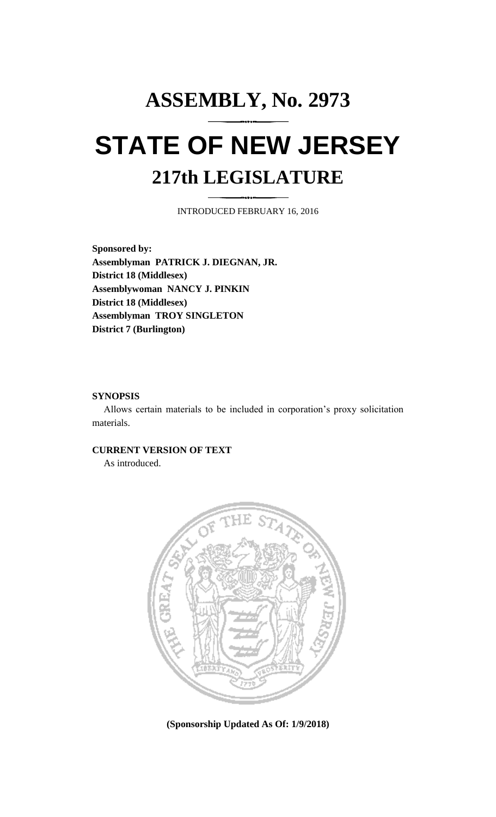# **ASSEMBLY, No. 2973 STATE OF NEW JERSEY 217th LEGISLATURE**

INTRODUCED FEBRUARY 16, 2016

**Sponsored by: Assemblyman PATRICK J. DIEGNAN, JR. District 18 (Middlesex) Assemblywoman NANCY J. PINKIN District 18 (Middlesex) Assemblyman TROY SINGLETON District 7 (Burlington)**

### **SYNOPSIS**

Allows certain materials to be included in corporation's proxy solicitation materials.

## **CURRENT VERSION OF TEXT**

As introduced.



**(Sponsorship Updated As Of: 1/9/2018)**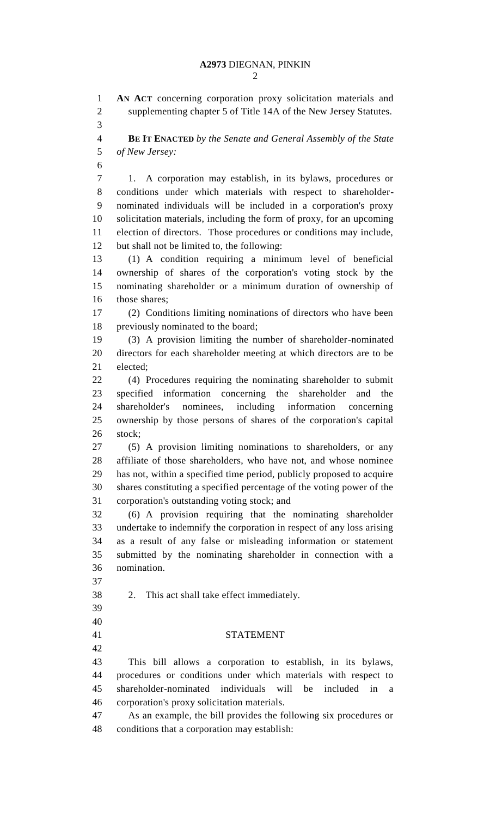**AN ACT** concerning corporation proxy solicitation materials and supplementing chapter 5 of Title 14A of the New Jersey Statutes.

 **BE IT ENACTED** *by the Senate and General Assembly of the State of New Jersey:* 1. A corporation may establish, in its bylaws, procedures or conditions under which materials with respect to shareholder- nominated individuals will be included in a corporation's proxy solicitation materials, including the form of proxy, for an upcoming election of directors. Those procedures or conditions may include, but shall not be limited to, the following: (1) A condition requiring a minimum level of beneficial ownership of shares of the corporation's voting stock by the nominating shareholder or a minimum duration of ownership of those shares; (2) Conditions limiting nominations of directors who have been previously nominated to the board; (3) A provision limiting the number of shareholder-nominated directors for each shareholder meeting at which directors are to be elected; (4) Procedures requiring the nominating shareholder to submit specified information concerning the shareholder and the shareholder's nominees, including information concerning ownership by those persons of shares of the corporation's capital stock; (5) A provision limiting nominations to shareholders, or any affiliate of those shareholders, who have not, and whose nominee has not, within a specified time period, publicly proposed to acquire shares constituting a specified percentage of the voting power of the corporation's outstanding voting stock; and (6) A provision requiring that the nominating shareholder undertake to indemnify the corporation in respect of any loss arising as a result of any false or misleading information or statement submitted by the nominating shareholder in connection with a nomination. 2. This act shall take effect immediately. STATEMENT This bill allows a corporation to establish, in its bylaws, procedures or conditions under which materials with respect to shareholder-nominated individuals will be included in a corporation's proxy solicitation materials. As an example, the bill provides the following six procedures or conditions that a corporation may establish: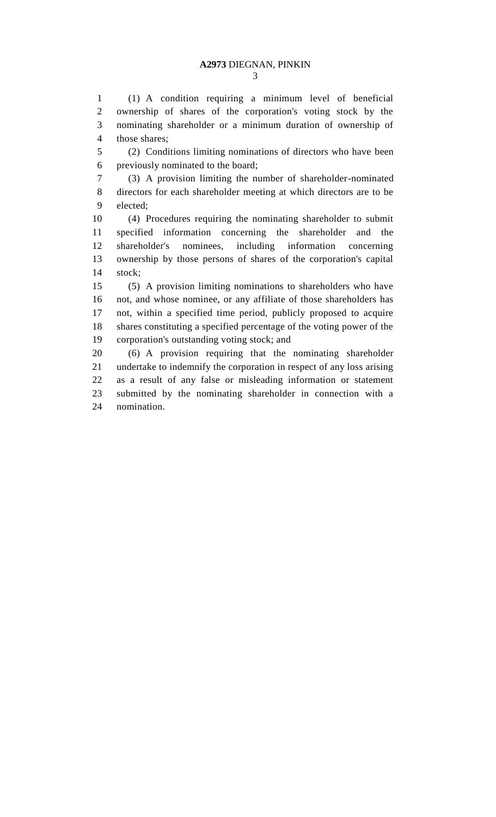(1) A condition requiring a minimum level of beneficial ownership of shares of the corporation's voting stock by the nominating shareholder or a minimum duration of ownership of those shares;

 (2) Conditions limiting nominations of directors who have been previously nominated to the board;

 (3) A provision limiting the number of shareholder-nominated directors for each shareholder meeting at which directors are to be elected;

 (4) Procedures requiring the nominating shareholder to submit specified information concerning the shareholder and the shareholder's nominees, including information concerning ownership by those persons of shares of the corporation's capital stock;

 (5) A provision limiting nominations to shareholders who have not, and whose nominee, or any affiliate of those shareholders has not, within a specified time period, publicly proposed to acquire shares constituting a specified percentage of the voting power of the corporation's outstanding voting stock; and

 (6) A provision requiring that the nominating shareholder undertake to indemnify the corporation in respect of any loss arising as a result of any false or misleading information or statement submitted by the nominating shareholder in connection with a nomination.